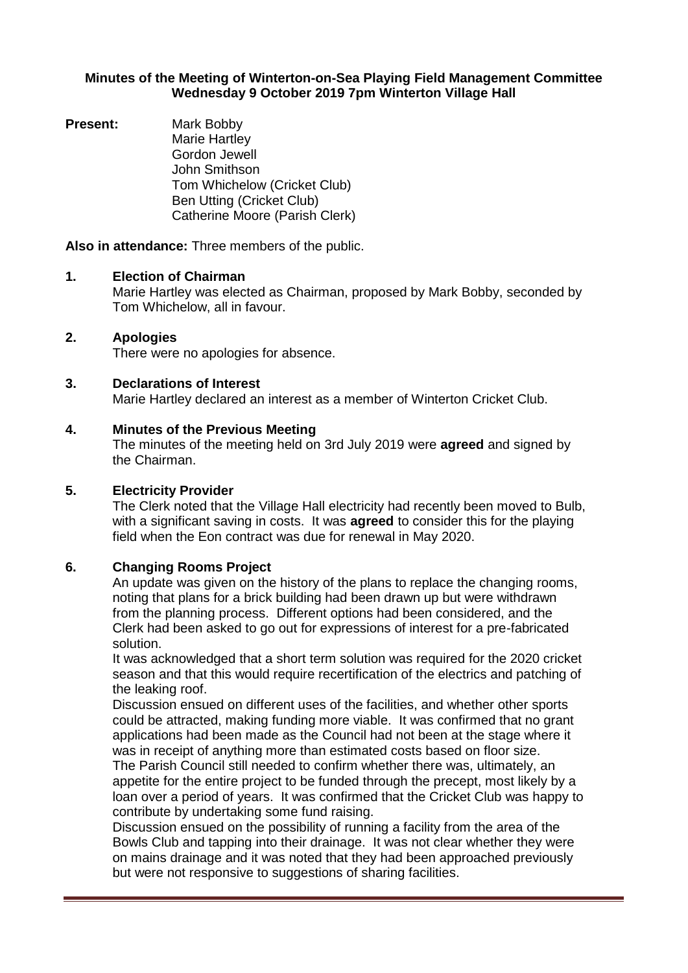#### **Minutes of the Meeting of Winterton-on-Sea Playing Field Management Committee Wednesday 9 October 2019 7pm Winterton Village Hall**

**Present:** Mark Bobby Marie Hartley Gordon Jewell John Smithson Tom Whichelow (Cricket Club) Ben Utting (Cricket Club) Catherine Moore (Parish Clerk)

**Also in attendance:** Three members of the public.

#### **1. Election of Chairman**

Marie Hartley was elected as Chairman, proposed by Mark Bobby, seconded by Tom Whichelow, all in favour.

## **2. Apologies**

There were no apologies for absence.

## **3. Declarations of Interest**

Marie Hartley declared an interest as a member of Winterton Cricket Club.

## **4. Minutes of the Previous Meeting**

The minutes of the meeting held on 3rd July 2019 were **agreed** and signed by the Chairman.

#### **5. Electricity Provider**

The Clerk noted that the Village Hall electricity had recently been moved to Bulb, with a significant saving in costs. It was **agreed** to consider this for the playing field when the Eon contract was due for renewal in May 2020.

# **6. Changing Rooms Project**

An update was given on the history of the plans to replace the changing rooms, noting that plans for a brick building had been drawn up but were withdrawn from the planning process. Different options had been considered, and the Clerk had been asked to go out for expressions of interest for a pre-fabricated solution.

It was acknowledged that a short term solution was required for the 2020 cricket season and that this would require recertification of the electrics and patching of the leaking roof.

Discussion ensued on different uses of the facilities, and whether other sports could be attracted, making funding more viable. It was confirmed that no grant applications had been made as the Council had not been at the stage where it was in receipt of anything more than estimated costs based on floor size.

The Parish Council still needed to confirm whether there was, ultimately, an appetite for the entire project to be funded through the precept, most likely by a loan over a period of years. It was confirmed that the Cricket Club was happy to contribute by undertaking some fund raising.

Discussion ensued on the possibility of running a facility from the area of the Bowls Club and tapping into their drainage. It was not clear whether they were on mains drainage and it was noted that they had been approached previously but were not responsive to suggestions of sharing facilities.